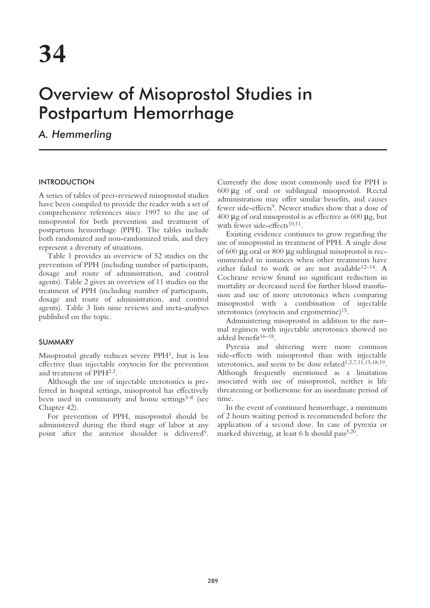# Overview of Misoprostol Studies in Postpartum Hemorrhage

*A. Hemmerling*

## INTRODUCTION

A series of tables of peer-reviewed misoprostol studies have been compiled to provide the reader with a set of comprehensive references since 1997 to the use of misoprostol for both prevention and treatment of postpartum hemorrhage (PPH). The tables include both randomized and non-randomized trials, and they represent a diversity of situations.

Table 1 provides an overview of 52 studies on the prevention of PPH (including number of participants, dosage and route of administration, and control agents). Table 2 gives an overview of 11 studies on the treatment of PPH (including number of participants, dosage and route of administration, and control agents). Table 3 lists nine reviews and meta-analyses published on the topic.

## SUMMARY

Misoprostol greatly reduces severe PPH1, but is less effective than injectable oxytocin for the prevention and treatment of PPH2,3.

Although the use of injectable uterotonics is preferred in hospital settings, misoprostol has effectively been used in community and home settings $3-8$  (see Chapter 42).

For prevention of PPH, misoprostol should be administered during the third stage of labor at any point after the anterior shoulder is delivered<sup>9</sup>.

Currently the dose most commonly used for PPH is 600 µg of oral or sublingual misoprostol. Rectal administration may offer similar benefits, and causes fewer side-effects<sup>9</sup>. Newer studies show that a dose of  $400 \mu$ g of oral misoprostol is as effective as 600  $\mu$ g, but with fewer side-effects<sup>10,11</sup>.

Existing evidence continues to grow regarding the use of misoprostol in treatment of PPH. A single dose of 600 µg oral or 800 µg sublingual misoprostol is recommended in instances when other treatments have either failed to work or are not available12–14. A Cochrane review found no significant reduction in mortality or decreased need for further blood transfusion and use of more uterotonics when comparing misoprostol with a combination of injectable uterotonics (oxytocin and ergometrine)15.

Administering misoprostol in addition to the normal regimen with injectable uterotonics showed no added benefit<sup>16-18</sup>.

Pyrexia and shivering were more common side-effects with misoprostol than with injectable uterotonics, and seem to be dose related<sup>1,2,7,11,15,18,19</sup>. Although frequently mentioned as a limitation associated with use of misoprostol, neither is life threatening or bothersome for an inordinate period of time.

In the event of continued hemorrhage, a minimum of 2 hours waiting period is recommended before the application of a second dose. In case of pyrexia or marked shivering, at least 6 h should pass $3,20$ .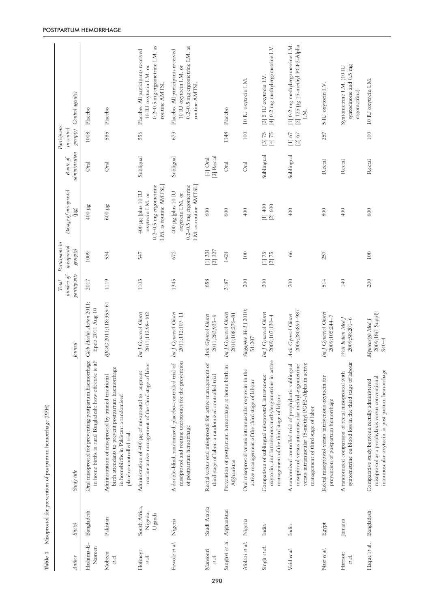| Author                | Site(s)                             | Study title                                                                                                                                                                                                  | Journal                                           | number of<br>participants<br>Total | Participants in<br>misoprostol<br>group(s) | Dosage of misoprostol<br>(ug)                                                                      | administration<br>Route of | Participants<br>in control<br>$group(s)$ | Control agent(s)                                                                                                    |
|-----------------------|-------------------------------------|--------------------------------------------------------------------------------------------------------------------------------------------------------------------------------------------------------------|---------------------------------------------------|------------------------------------|--------------------------------------------|----------------------------------------------------------------------------------------------------|----------------------------|------------------------------------------|---------------------------------------------------------------------------------------------------------------------|
| Hashima-E-<br>Nasreen | Bangladesh                          | Oral misoprostol for preventing postpartum haemorrhage<br>in home births in rural Bangladesh: how effective is it?                                                                                           | Glob Health Action 2011;<br>Epub 2011 Aug 10      | 2017                               | 1009                                       | $400\,\mu\text{g}$                                                                                 | Oral                       | 1008                                     | Placebo                                                                                                             |
| Mobeen<br>et al.      | Pakistan                            | birth attendants to prevent postpartum haemorrhage<br>Administration of misoprostol by trained traditional<br>in homebirths in Pakistan: a randomised<br>placebo-controlled trial.                           | BJOG 2011;118:353-61                              | 1119                               | 534                                        | 600 µg                                                                                             | Oral                       | 585                                      | Placebo                                                                                                             |
| Hofneyr<br>et al.     | South Africa,<br>Nigeria,<br>Uganda | routine active management of the third stage of labor<br>Administration of 400 µg of misoprostol to augment                                                                                                  | Int J Gynaecol Obstet<br>2011;112:98-102          | 1103                               | 547                                        | $0.2 - 0.5$ mg ergometrine<br>I.M. as routine AMTSL<br>$400 \mu g$ [plus 10 IU<br>oxytocin I.M. or | Subligual                  | 556                                      | $0.2 - 0.5$ mg ergometrine I.M. as<br>Placebo. All participants received<br>10 IU oxytocin I.M. or<br>routine AMTSL |
| Fawole et al.         | Nigeria                             | misoprostol and routine uterotonics for the prevention<br>A double-blind, randomized, placebo-controlled trial of<br>of postpartum hemorrhage                                                                | Int J Gynaecol Obstet<br>2011;112:107-11          | 1345                               | 672                                        | $0.2 - 0.5$ mg ergometrine<br>I.M. as routine AMTSL]<br>400 µg [plus 10 IU<br>oxytocin I.M. or     | Subligual                  | 673                                      | $0.2 - 0.5$ mg ergometrine I.M. as<br>Placebo. All participants received<br>10 IU oxytocin I.M. or<br>routine AMTSL |
| Mansouri<br>et al.    | Saudi Arabia                        | Rectal versus oral misoprostol for active management of<br>third stage of labor: a randomized controlled trial                                                                                               | Arch Gynecol Obstet<br>2011;283;935-9             | 658                                | [2] 327<br>[1] 331                         | 600                                                                                                | [2] Rectal<br>$[1]$ Oral   |                                          |                                                                                                                     |
| Sanghvi et al.        | Afghanistan                         | Prevention of postpartum hemorrhage at home birth in<br>Afghanistan                                                                                                                                          | Int J Gynaecol Obstet<br>2010;108:276-81          | 3187                               | 1421                                       | 600                                                                                                | Oral                       | 1148                                     | Placebo                                                                                                             |
| Afolabi et al.        | Nigeria                             | Oral misoprostol versus intramuscular oxytocin in the<br>active management of the third stage of labour                                                                                                      | Singapore Med J 2010;<br>51:207                   | 200                                | $100\,$                                    | $400$                                                                                              | $_{\rm Ord}$               | 100                                      | 10 IU oxytocin I.M.                                                                                                 |
| Singh et al.          | India                               | oxytocin, and intravenous methylergometrine in active<br>Comparison of sublingual misoprostol, intravenous<br>management of the third stage of labour                                                        | Int J Gynaeol Obstet<br>2009;107:130-4            | 300                                | $[1] 75$<br>75<br>$\overline{2}$           | [2] 600<br>$[1]$ 400                                                                               | Sublingual                 | [3] 75<br>[4] 75                         | [4] $0.2$ mg methylergometrine I.V.<br>[3] 5 IU oxytocin I.V.                                                       |
| Vaid et al.           | India                               | A randomized controlled trial of prophylactic sublingual<br>misoprostol versus intramuscular methyl-ergometrine<br>versus intramuscular 15-methyl PGF2-Alpha in active<br>management of third stage of labor | 2009;280:893-987<br>Arch Gynecol Obstet           | 200                                | $66$                                       | 400                                                                                                | Sublingual                 | $[1]$ 67<br>$[2]$ 67                     | [1] 0.2 mg methylergometrine I.M.<br>[2] 125 µg 15-methyl PGF2-Alpha<br>LM.                                         |
| Nasr et al.           | Egypt                               | Rectal misoprostol versus intravenous oxytocin for<br>prevention of postpartum hemorrhage                                                                                                                    | Int J Gynaecol Obstet<br>2009;105:244-7           | 514                                | 257                                        | 800                                                                                                | Rectal                     | 257                                      | 5 IU oxytocin I.V.                                                                                                  |
| Harriott<br>et al.    | Jamaica                             | syntometrine on blood loss in the third stage of labour<br>A randomized comparison of rectal misoprostol with                                                                                                | West Indian Med J<br>$2009;58:201-6$              | 140                                |                                            | 400                                                                                                | Rectal                     |                                          | syntocinone and 0.5 mg<br>Syntometrine I.M. (10 IU<br>ergometrine)                                                  |
| Haque et al.          | Bangladesh                          | intramuscular oxytocin in post partum hemorrhage<br>misoprostol as a prophylaxis versus conventional<br>Comparative study between rectally administered                                                      | 2009;18(1 Suppl):<br>Mymensigh Med J<br>$S40 - 4$ | 200                                | 100                                        | 600                                                                                                | Rectal                     | 100                                      | 10 IU oxytocin I.M.                                                                                                 |

**Table 1** Misoprostol for prevention of postpartum hemorrhage (PPH)

Table 1 Misoprostol for prevention of postpartum hemorrhage (PPH)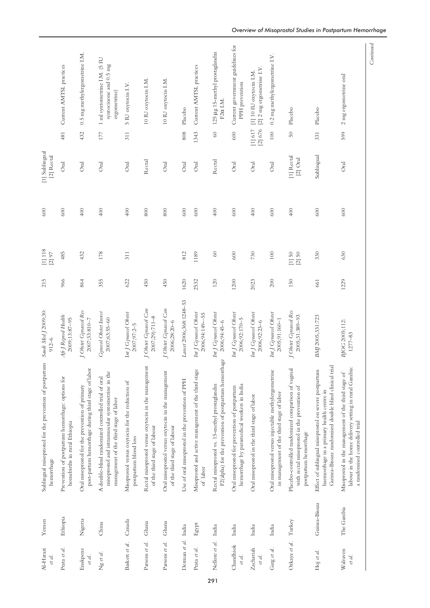| Al-Harazi<br>et al. | Yemen         | Sublingual misoprostol for the prevention of postpartum<br>hemorrhage                                                                                       | Saudi Med J 2009;30:<br>$912 - 6$               | 215  | $\left[1\right]$ 118<br>$[2]$ 97 | 600      | [1] Sublingual<br>[2] Rectal |                    |                                                                        |
|---------------------|---------------|-------------------------------------------------------------------------------------------------------------------------------------------------------------|-------------------------------------------------|------|----------------------------------|----------|------------------------------|--------------------|------------------------------------------------------------------------|
| Prata et al.        | Ethiopia      | Prevention of postpartum hemorrhage: options for<br>homebirths in rural Ethiopia                                                                            | Afr J Reprod Health<br>2009;13:87-95            | 966  | 485                              | 600      | Oral                         | 481                | Current AMTSL practices                                                |
| Enakpene<br>et al.  | Nigeria       | post-partum hemorrhage during third stage of labor<br>Oral misoprostol for the prevention of primary                                                        | J Obstet Gynaecol Res<br>2007;33:810-7          | 864  | 432                              | 400      | <b>Oral</b>                  | 432                | 0.5 mg methylergometrine I.M.                                          |
| Ng et al.           | China         | misoprostol and intramuscular syntometrine in the<br>A double-blind randomized controlled trial of oral<br>management of the third stage of labor           | <b>Gynecol</b> Obstet Invest<br>$2007;63:55-60$ | 355  | 178                              | 400      | Oral                         | 177                | 1 ml syntometrine I.M. (5 IU<br>syntocinone and 0.5 mg<br>ergometrine) |
| Baskett et al.      | Canada        | Misoprostol versus oxytocin for the reduction of<br>postpartum blood loss                                                                                   | Int J Gynaecol Obstet<br>2007;97:2-5            | 622  | 311                              | 400      | Oral                         | 311                | 5 IU oxytocin I.V.                                                     |
| Parsons et al.      | Ghana         | Rectal misoprostol versus oxytocin in the management<br>of the third stage of labour                                                                        | J Obstet Gynaecol Can<br>2007;29):711-8         | 450  |                                  | 800      | Rectal                       |                    | 10 IU oxytocin I.M.                                                    |
| Parsons et al.      | Ghana         | Oral misoprostol versus oxytocin in the management<br>of the third stage of labour                                                                          | J Obstet Gynaecol Can<br>2006;28:20-6           | 450  |                                  | 800      | Oral                         |                    | 10 IU oxytocin I.M.                                                    |
| Derman et al.       | India         | Use of oral misoprostol in the prevention of PPH                                                                                                            | Lancet 2006;368:1248-53                         | 1620 | 812                              | 600      | Oral                         | 808                | Placebo                                                                |
| Prata et al.        | Egypt         | Misoprostol and active management of the third stage<br>of labor                                                                                            | Int J Gynaecol Obstet<br>2006;94:149--55        | 2532 | 1189                             | 600      | Oral                         | 1343               | Current AMTSL practices                                                |
| Nellore et al.      | India         | F2(alpha) for the prevention of postpartum hemorrhage<br>Rectal misoprostol vs. 15-methyl prostaglandin                                                     | Int J Gynaecol Obstet<br>$2006;94:45-6$         | 120  | $\ensuremath{\mathbb{S}}\xspace$ | 400      | Rectal                       | 60                 | 125 µg 15-methyl prostaglandin<br>$F2\alpha$ I.M                       |
| Chandhiok<br>et al. | India         | hemorrhage by paramedical workers in India<br>Oral misoprostol for prevention of postpartum                                                                 | Int J Gynaecol Obstet<br>2006;92:170-5          | 1200 | 600                              | 600      | <b>Oral</b>                  | 600                | Current government guidelines for<br>PPH prevention                    |
| Zachariah<br>et al. | India         | Oral misoprostol in the third stage of labor                                                                                                                | Int J Gynaecol Obstet<br>$2006;92:23-6$         | 2023 | 730                              | 400      | Oral                         | [2] 676<br>[1] 617 | [2] $2$ mg ergometrine I.V.<br>[1] 10 IU oxytocin I.M.                 |
| Garg et al.         | India         | Oral misoprostol versus injectable methylergometrine<br>in management of the third stage of labor                                                           | Int J Gynaecol Obstet<br>2005;91:160-1          | 200  | $100\,$                          | 600      | Oral                         | 100                | 0.2 mg methylergometrine I.V.                                          |
| Ozkaya et al.       | Turkey        | Placebo-controlled randomized comparison of vaginal<br>with rectal misoprostol in the prevention of<br>postpartum hemorrhage                                | J Obstet Gynaecol Res<br>2005;31:389-93         | 150  | $[1]$ 50<br>$\left[2\right]$ 50  | $^{400}$ | [1] Rectal<br>$[2]$ Oral     | $50\,$             | Placebo                                                                |
| Hoj et al.          | Guinea-Bissau | Guinea-Bissau: randomised double blind clinical trial<br>Effect of sublingual misoprostol on severe postpartum<br>haemorrhage in a primary health centre in | BMJ 2005;331:723                                | 661  | 330                              | 600      | Sublingual                   | 331                | Placebo                                                                |
| Walraven<br>et al.  | The Gambia    | labour in the home delivery setting in rural Gambia:<br>Misoprostol in the management of the third stage of<br>a randomised controlled trial                | BJOG 2005;112:<br>1277-83                       | 1229 | 630                              | 600      | Oral                         | 599                | 2 mg ergometrine oral                                                  |

 $Continued$ *Continued*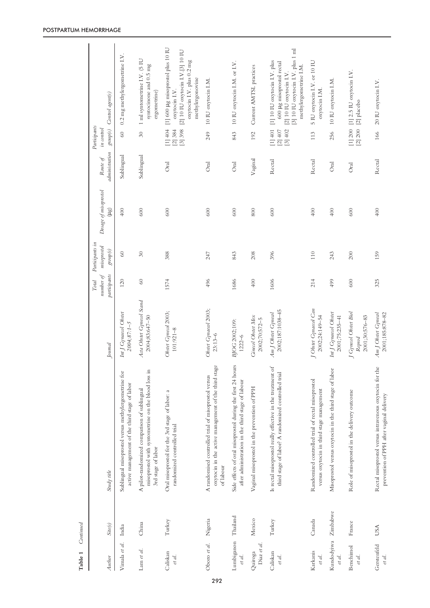| Table 1                | Continued  |                                                                                                                          |                                                   |                    |                                |                       |                |                              |                                                                                                                                                     |
|------------------------|------------|--------------------------------------------------------------------------------------------------------------------------|---------------------------------------------------|--------------------|--------------------------------|-----------------------|----------------|------------------------------|-----------------------------------------------------------------------------------------------------------------------------------------------------|
|                        |            |                                                                                                                          |                                                   | number of<br>Total | Participants in<br>misoprostol | Dosage of misoprostol | Route of       | Participants<br>in control   |                                                                                                                                                     |
| Author                 | Site(s)    | Study title                                                                                                              | Journal                                           | participants       | $\mathit{group}(s)$            | (ug)                  | administration | $group(s)$                   | Control agent(s)                                                                                                                                    |
| Vimala et al.          | India      | Sublingual misoprostol versus methylergometrine for<br>active management of the third stage of labor                     | Int J Gynaecol Obstet<br>$2004;87:1 - 5$          | 120                | $\odot$                        | 400                   | Sublingual     | 60                           | 0.2 mg methylergometrine I.V.                                                                                                                       |
| Lam et al.             | China      | misoprostol with syntometrine on the blood loss in<br>A pilot-randomized comparison of sublingual<br>3rd stage of labor  | Acta Obstet Gynecol Scand<br>2004;83:647-50       | $\mathcal{O}$      | $30\,$                         | 600                   | Sublingual     | $30\,$                       | 1 ml syntometrine I.V. (5 IU<br>syntocinone and 0.5 mg<br>ergometrine)                                                                              |
| Caliskan<br>et al.     | Turkey     | Oral misoprostol for the 3rd stage of labor: a<br>randomized controlled trial                                            | Obstet Gynecol 2003;<br>$101:921 - 8$             | 1574               | 388                            | 600                   | Oral           | [1]404<br>[3] 398<br>[2] 384 | [1] 600 µg misoprostol plus 10 IU<br>[2] 10 IU oxytocin I.V.[3] 10 IU<br>oxytocin I.V. plus 0.2 mg<br>methylergonovine<br>oxytocin I.V.             |
| Oboro et al.           | Nigeria    | oxytocin in the active management of the third stage<br>A randomised controlled trial of misoprostol versus<br>of labour | Obstet Gynaecol 2003;<br>$23:13-6$                | 496                | 247                            | 600                   | Oral           | 249                          | 10 IU oxytocin I.M.                                                                                                                                 |
| Lumbiganon<br>et al.   | Thailand   | Side effects of oral misoprostol during the first 24 hours<br>after administration in the third stage of labour          | BJOG 2002;109:<br>$1222 - 6$                      | 1686               | 843                            | 600                   | <b>Oral</b>    | 843                          | 10 IU oxytocin I.M. or I.V.                                                                                                                         |
| Diaz et al.<br>Quiroga | Mexico     | Vaginal misoprostol in the prevention of PPH                                                                             | <b>Ginecol</b> Obstet Mex<br>2002;70:572-5        | 400                | 208                            | 800                   | Vaginal        | 192                          | Current AMTSL practices                                                                                                                             |
| Caliskan<br>et al.     | Turkey     | Is rectal misoprostol really effective in the treatment of<br>third stage of labor? A randomized controlled trial        | 2002;187:1038-45<br>Am J Obstet Gynecol           | 1606               | 396                            | 600                   | Rectal         | [3] 402<br>[1]401<br>[2] 407 | [3] 10 IU oxytocin I.V. plus 1 ml<br>[1] 10 IU oxytocin I.V. plus<br>600 µg misoprostol rectal<br>methylergometrine I.M.<br>[2] 10 IU oxytocin I.V. |
| Karkanis<br>et al.     | Canada     | Randomized controlled trial of rectal misoprostol<br>versus oxytocin in third stage management                           | J Obstet Gynaecol Can<br>2002;24:149-54           | 214                | 110                            | 400                   | Rectal         | 113                          | 5 IU oxytocin I.V. or 10 IU<br>oxytocin I.M.                                                                                                        |
| Kundodyiwa<br>et al.   | Zimbabwe   | Misoprostol versus oxytocin in the third stage of labor                                                                  | Int J Gynaecol Obstet<br>$2001;75:235-41$         | 499                | 243                            | 400                   | Oral           | 256                          | 10 IU oxytocin I.M.                                                                                                                                 |
| Benchimol<br>et al.    | France     | Role of misoprostol in the delivery outcome                                                                              | J Gynecol Obstet Biol<br>2001;30:576-83<br>Reprod | 600                | 200                            | 600                   | Oral           | $[1] 200$<br>[2] 200         | [1] $2.5$ IU oxytocin I.V.<br>[2] placebo                                                                                                           |
| Gerstenfeld<br>et al.  | <b>USA</b> | Rectal misoprostol versus intravenous oxytocin for the<br>prevention of PPH after vaginal delivery                       | Am J Obstet Gynecol<br>2001;185:878-82            | 325                | 159                            | 400                   | Rectal         | 166                          | 20 IU oxytocin I.V.                                                                                                                                 |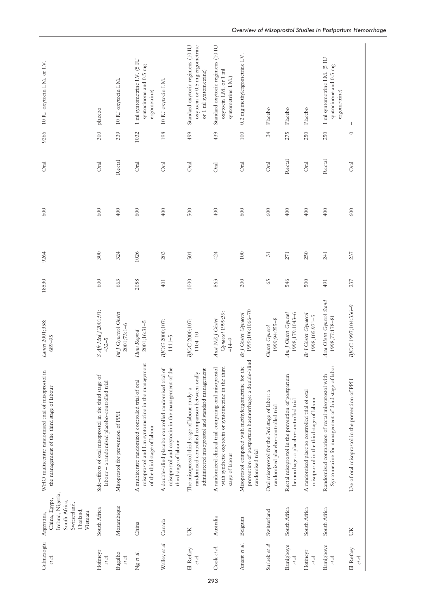| Gulmezoglu<br>et al. | Ireland, Nigeria,<br>China, Egypt,<br>South Africa,<br>Switzerland,<br>Thailand,<br>Vietnam<br>Argentina, | WHO multicentre randomised trial of misoprostol in<br>the management of the third stage of labour                                                     | Lancet 2001;358:<br>689-95                         | 18530 | 9264            | 600 | Oral             | 9266    | 10 IU oxytocin I.M. or I.V.                                                                  |
|----------------------|-----------------------------------------------------------------------------------------------------------|-------------------------------------------------------------------------------------------------------------------------------------------------------|----------------------------------------------------|-------|-----------------|-----|------------------|---------|----------------------------------------------------------------------------------------------|
| Hofineyr<br>et al.   | South Africa                                                                                              | Side-effects of oral misoprostol in the third stage of<br>labour - a randomised placebo-controlled trial                                              | S Afr Med J 2001;91:<br>$432 - 5$                  | 600   | 300             | 600 | <b>Oral</b>      | 300     | placebo                                                                                      |
| Bugalho<br>et al.    | Mozambique                                                                                                | Misoprostol for prevention of PPH                                                                                                                     | Int J Gynaecol Obstet<br>$2001;73:1-6$             | 663   | 324             | 400 | Rectal           | 339     | 10 IU oxytocin I.M.                                                                          |
| Ng et al.            | China                                                                                                     | misoprostol and I.m syntometrine in the management<br>A multicentre randomized controlled trial of oral<br>of the third stage of labour               | $2001;16:31 - 5$<br>Hum Reprod                     | 2058  | 1026            | 600 | Oral             | 1032    | 1 ml syntometrine I.V. (5 IU<br>syntocinone and 0.5 mg<br>ergometrine)                       |
| Walley et al.        | Canada                                                                                                    | A double-blind placebo controlled randomised trial of<br>misoprostol and oxytocin in the management of the<br>third stage of labour                   | BJOG 2000;107:<br>$1111 - 5$                       | 401   | 203             | 400 | Oral             | 198     | 10 IU oxytocin I.M.                                                                          |
| El-Refaey<br>et al.  | UК                                                                                                        | administered misoprostol and standard management<br>randomised controlled comparison between orally<br>The misoprostol third stage of labour study: a | BJOG 2000;107:<br>$1104 - 10$                      | 1000  | 501             | 500 | <b>Oral</b>      | 499     | Standard oxytocic regimens (10 IU<br>oxytocin or 0.5 mg ergometrine<br>or 1 ml syntometrine) |
| Cook et al.          | Australia                                                                                                 | A randomized clinical trial comparing oral misoprostol<br>with synthetic oxytocin or syntometrine in the third<br>stage of labour                     | Gynaecol 1999;39:<br>Aust NZ J Obstet<br>$414 - 9$ | 863   | 424             | 400 | Oral             | 439     | Standard oxytocic regimens (10 IU<br>oxytocin I.M. or 1 ml<br>syntometrine I.M.)             |
| Amant et al.         | Belgium                                                                                                   | prevention of postpartum haemorrhage: a double-blind<br>Misoprostol compared with methylergometrine for the<br>randomised trial                       | 1999;106:1066-70<br>Br J Obstet Gynaecol           | 200   | $100\,$         | 600 | <b>J</b><br>Oral | $100\,$ | 0.2 mg methylergometrine I.V.                                                                |
| Surbek et al.        | Switzerland                                                                                               | $\approx$<br>Oral misoprostol for the 3rd stage of labor:<br>randomized placebo-controlled trial                                                      | 1999;94:255-8<br>Obstet Gynecol                    | 65    | $\overline{31}$ | 600 | Oral             | 34      | Placebo                                                                                      |
| Bamigboye<br>et al.  | South Africa                                                                                              | Rectal misoprostol in the prevention of postpartum<br>hemorrhage: a placebo-controlled trial                                                          | 1998;179:1043-6<br>Am J Obstet Gynecol             | 546   | 271             | 400 | Rectal           | 275     | Placebo                                                                                      |
| Hofineyr<br>et al.   | South Africa                                                                                              | A randomised placebo controlled trial of oral<br>misoprostol in the third stage of labour                                                             | Br J Obstet Gynaecol<br>1998;105:971-5             | 500   | 250             | 400 | Oral             | 250     | Placebo                                                                                      |
| Bamigboye<br>et al.  | South Africa                                                                                              | Syntometrine for management of third stage of labor<br>Randomized comparison of rectal misoprostol with                                               | Acta Obstet Gynecol Scand<br>1998;77:178-81        | 491   | 241             | 400 | Rectal           | 250     | 1 ml syntometrine I.M. (5 IU<br>syntocinone and 0.5 mg<br>ergometrine)                       |
| El-Refaey<br>et al.  | ŬК                                                                                                        | Use of oral misoprostol in the prevention of PPH                                                                                                      | BJOG 1997;104:336-9                                | 237   | 237             | 600 | Oral             | $\circ$ | 1                                                                                            |
|                      |                                                                                                           |                                                                                                                                                       |                                                    |       |                 |     |                  |         |                                                                                              |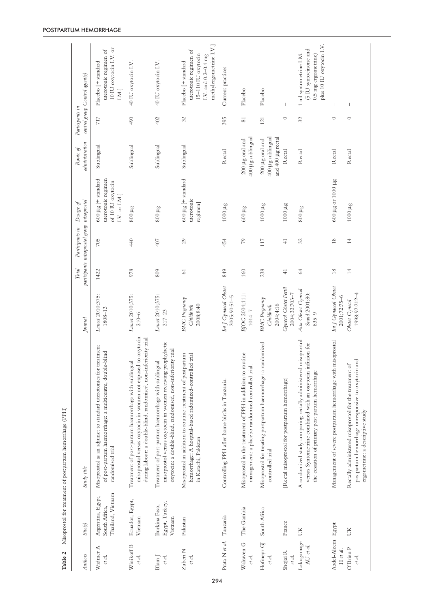| Table 2                       |                                                         | Misoprostol for treatment of postpartum hemorrhage (PPH)                                                                                                                                 |                                                    |                 |                                                                         |                                                                                         |                                                           |                 |                                                                                                                      |
|-------------------------------|---------------------------------------------------------|------------------------------------------------------------------------------------------------------------------------------------------------------------------------------------------|----------------------------------------------------|-----------------|-------------------------------------------------------------------------|-----------------------------------------------------------------------------------------|-----------------------------------------------------------|-----------------|----------------------------------------------------------------------------------------------------------------------|
| Authors                       | Site(s)                                                 | Study title                                                                                                                                                                              | Journal                                            | Total           | participants misoprostol group misoprostol<br>Participants in Dosage of |                                                                                         | administration<br>Route of                                | Participants in | control group Control agent(s)                                                                                       |
| ⋖<br>Widner<br>et al.         | Thailand, Vietnam<br>Argentina, Egypt,<br>South Africa, | Misoprostol as an adjunct to standard uterotonics for treatment<br>of post-partum haemorrhage: a multicentre, double-blind<br>randomised trial                                           | Lancet 2010;375:<br>$1808 - 13$                    | 1422            | 705                                                                     | uterotonic regimen<br>$600 \mu g$ [ + standard<br>of 10 IU oxytocin<br>$I.V.$ or $I.M.$ | Sublingual                                                | 717             | 10 IU oxytocin I.V. or<br>uterotonic regimen of<br>Placebo [+ standard<br>I.M.]                                      |
| Winikoff B<br>et al.          | Ecuador, Egypt,<br>Vietnam                              | misoprostol versus oxytocin in women not exposed to oxytocin<br>during labour: a double-blind, randomised, non-inferiority trial<br>Treatment of post-partum haemorrhage with sublingual | Lancet 2010;375:<br>$210 - 6$                      | 978             | 440                                                                     | $800~\mu\text{g}$                                                                       | Sublingual                                                | 490             | 40 IU oxytocin I.V.                                                                                                  |
| Blum J<br>et al.              | Egypt, Turkey,<br>Burkina Faso,<br>Vietnam              | misoprostol versus oxytocin in women receiving prophylactic<br>oxytocin: a double-blind, randomised, non-inferiority trial<br>Treatment of post-partum haemorrhage with sublingual       | Lancet 2010;375:<br>$217 - 23$                     | 809             | 407                                                                     | $800~\mu\text{g}$                                                                       | Sublingual                                                | 402             | 40 IU oxytocin I.V.                                                                                                  |
| Zuberi <sub>N</sub><br>et al. | Pakistan                                                | hemorrhage: A hospital-based radomized-controlled trial<br>Misoprostol in addition to routine treatment of postpartum<br>in Karachi, Pakistan                                            | <b>BMC</b> Pregnancy<br>2008;8:40<br>Childbirth    | 61              | 29                                                                      | $600 \mu g$ [ + standard<br>uterotonic<br>regimen                                       | Sublingual                                                | 32              | methylergometrine I.V.]<br>uterotonic regimen of<br>15-110 IU oxytocin<br>I.V. and 0.2-0.4 mg<br>Placebo [+ standard |
| Prata N et al.                | Tanzania                                                | Controlling PPH after home births in Tanzania.                                                                                                                                           | Int J Gynaecol Obstet<br>$2005;90:51 - 5$          | 849             | 454                                                                     | $1000 \mu$ g                                                                            | Rectal                                                    | 395             | Current practices                                                                                                    |
| Walraven G<br>et al.          | The Gambia                                              | Misoprostol in the treatment of PPH in addition to routine<br>management: a placebo randomised controlled trial.                                                                         | BJOG 2004;111:<br>$1014 - 7$                       | 160             | 79                                                                      | $600~\mu\text{g}$                                                                       | 400 µg sublingual<br>200 µg oral and                      | 81              | Placebo                                                                                                              |
| Hofineyr GJ<br>et al.         | South Africa                                            | Misoprostol for treating postpartum haemorrhage: a randomized<br>controlled trial                                                                                                        | <b>BMC</b> Pregnancy<br>2004;4:16<br>Childbirth    | 238             | 117                                                                     | 1000 µg                                                                                 | 400 µg sublingual<br>and 400 µg rectal<br>200 µg oral and | 121             | Placebo                                                                                                              |
| Shojai R<br>et al.            | France                                                  | [Rectal misoprostol for postpartum hemorrhage]                                                                                                                                           | Gynecol Obstet Fertil<br>2004;32:703-7             | $\overline{+}$  | $\overline{+}$                                                          | $1000 \mu$ g                                                                            | Rectal                                                    | $\circ$         | $\begin{array}{c} \hline \end{array}$                                                                                |
| Lokugamage<br>AU et al.       | UК                                                      | misoprostol<br>versus Syntometrine combined with an oxytocin infusion for<br>A randomized study comparing rectally administered<br>the cessation of primary post partum hemorrhage       | Acta Obstet Gynecol<br>Scand 2001;80:<br>$835 - 9$ | $64$            | 32                                                                      | $800~\mu\text{g}$                                                                       | Rectal                                                    | 32              | plus 10 IU oxytocin I.V.<br>(5 IU syntocinone and<br>1 ml syntometrine I.M.<br>$0.5$ mg ergometrine)                 |
| Abdel-Aleem Egypt<br>H et al. |                                                         | Management of severe postpartum hemorrhage with misoprostol                                                                                                                              | Int J Gynaecol Obstet<br>$2001;72:75-6$            | $\frac{8}{2}$   | $18$                                                                    | 600 µg or 1000 µg                                                                       | Rectal                                                    | $\circ$         | T                                                                                                                    |
| O'Brien P<br>et al.           | UК                                                      | postpartum hemorrhage unresponsive to oxytocin and<br>Rectally administered misoprostol for the treatment of<br>ergometrine: a descriptive study                                         | 1998;92:212-4<br>Obstet Gynecol                    | $\overline{14}$ | $\overline{14}$                                                         | 1000 µg                                                                                 | Rectal                                                    | $\circ$         | I                                                                                                                    |
|                               |                                                         |                                                                                                                                                                                          |                                                    |                 |                                                                         |                                                                                         |                                                           |                 |                                                                                                                      |

#### POSTPARTUM HEMORRHAGE